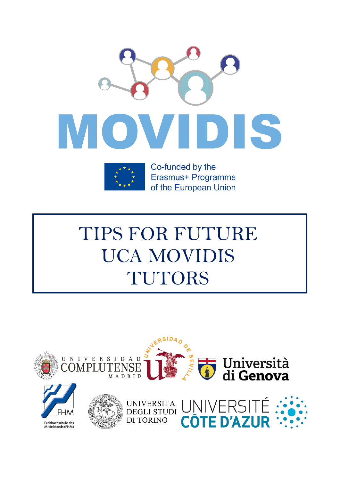



Co-funded by the Erasmus+ Programme of the European Union

# TIPS FOR FUTURE UCA MOVIDIS TUTORS

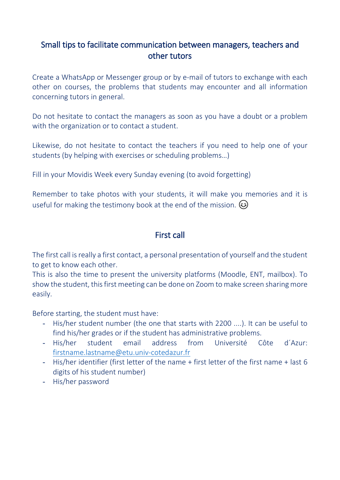## Small tips to facilitate communication between managers, teachers and other tutors

Create a WhatsApp or Messenger group or by e-mail of tutors to exchange with each other on courses, the problems that students may encounter and all information concerning tutors in general.

Do not hesitate to contact the managers as soon as you have a doubt or a problem with the organization or to contact a student.

Likewise, do not hesitate to contact the teachers if you need to help one of your students (by helping with exercises or scheduling problems…)

Fill in your Movidis Week every Sunday evening (to avoid forgetting)

Remember to take photos with your students, it will make you memories and it is useful for making the testimony book at the end of the mission.  $\odot$ 

## First call

The first call is really a first contact, a personal presentation of yourself and the student to get to know each other.

This is also the time to present the university platforms (Moodle, ENT, mailbox). To show the student, this first meeting can be done on Zoom to make screen sharing more easily.

Before starting, the student must have:

- His/her student number (the one that starts with 2200 ....). It can be useful to find his/her grades or if the student has administrative problems.
- His/her student email address from Université Côte d´Azur: [firstname.lastname@etu.univ-cotedazur.fr](mailto:firstname.lastname@etu.univ-cotedazur.fr)
- His/her identifier (first letter of the name + first letter of the first name + last 6 digits of his student number)
- His/her password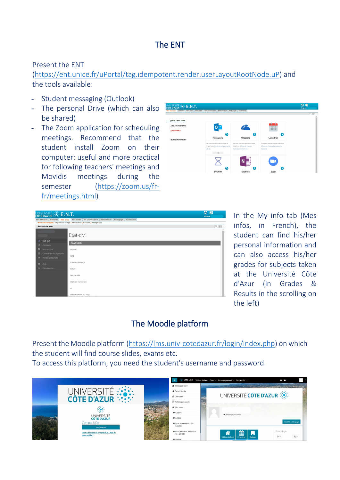## The ENT

Present the ENT

[\(https://ent.unice.fr/uPortal/tag.idempotent.render.userLayoutRootNode.uP\)](https://ent.unice.fr/uPortal/tag.idempotent.render.userLayoutRootNode.uP) and the tools available:

- Student messaging (Outlook)
- The personal Drive (which can also be shared)
- The Zoom application for scheduling meetings. Recommend that the student install Zoom on their computer: useful and more practical for following teachers' meetings and Movidis meetings during the semester [\(https://zoom.us/fr](https://zoom.us/fr-fr/meetings.html)[fr/meetings.html\)](https://zoom.us/fr-fr/meetings.html)



| UNIVERSITÉ : E.N.T.          |                                                                                                | $\bullet$<br>0<br>Bonjour |
|------------------------------|------------------------------------------------------------------------------------------------|---------------------------|
| Mes Services Contacts        | Vie Universitaire<br>Bibliothèque<br>Mes outils<br>Pédagogie<br>Assistance<br><b>Mes Infos</b> |                           |
|                              | > Mon dossier Web   Emplois du temps   Intracursus   Sesame   Inscriptions                     |                           |
| Mon dossier Web              |                                                                                                | QE                        |
|                              |                                                                                                |                           |
|                              | Ftat-civil                                                                                     |                           |
|                              |                                                                                                |                           |
| & Etat-civil                 | Généralités                                                                                    |                           |
| # Adresses                   |                                                                                                |                           |
| Inscriptions<br>D.           | Dossier                                                                                        |                           |
| 曲<br>Calendrier des épreuves |                                                                                                |                           |
| 疆<br>Notes & résultats       | NNE                                                                                            |                           |
|                              | Prénom et Nom                                                                                  |                           |
| $\bullet$<br>Aide            |                                                                                                |                           |
| Gb.<br>Déconnexion           | Email                                                                                          |                           |
|                              |                                                                                                |                           |
|                              | Nationalité                                                                                    |                           |
|                              | Date de naissance                                                                              |                           |
|                              |                                                                                                |                           |
|                              | À                                                                                              |                           |
|                              |                                                                                                |                           |
|                              | Département ou Pays                                                                            |                           |

In the My info tab (Mes infos, in French), the student can find his/her personal information and can also access his/her grades for subjects taken at the Université Côte d'Azur (in Grades & Results in the scrolling on the left)

# The Moodle platform

Present the Moodle platform [\(https://lms.univ-cotedazur.fr/login/index.php\)](https://lms.univ-cotedazur.fr/login/index.php) on which the student will find course slides, exams etc. To access this platform, you need the student's username and password.

|                                                          |                                          | : LMS UCA Tableau de bord Cours * Accompagnement * Français (fr) *<br>$\bullet$                                        |
|----------------------------------------------------------|------------------------------------------|------------------------------------------------------------------------------------------------------------------------|
|                                                          | <b>&amp;</b> Tableau de bord             | the company of the search of the company of the company of the company of the company of the company of the company of |
|                                                          | * Accueil du site                        |                                                                                                                        |
| UNIVERSITÉ :::::<br>Côte d'azur                          | <b>M</b> Calendrier                      | UNIVERSITÉ CÔTE D'AZUR                                                                                                 |
|                                                          | Fichiers personnels                      |                                                                                                                        |
|                                                          | <b><sup>■</sup></b> Mes cours            |                                                                                                                        |
|                                                          | <b>E</b> ILEEDPS                         | Message personnel                                                                                                      |
| <b>UNIVERSITÉ</b><br><b>CÔTE D'AZUR</b>                  | <b>F</b> ILEEEIS                         |                                                                                                                        |
| Compte UCA                                               | <b>ECUE</b> Econometrics S6 -<br>ILEMEC6 | Modifier cette page                                                                                                    |
| Se connecter                                             | <b>ECUE</b> Industrial Economics         | Chronologie                                                                                                            |
| Vous n'avez pas de compte UCA ? Mot de<br>passe oublié ? | S6 - ILEMIE6                             | m<br>Ы<br>推。<br>$\odot$ +                                                                                              |
|                                                          | <b>E</b> IMEBML                          | Tableau de bord<br>Calendrier<br><b>Badges</b>                                                                         |